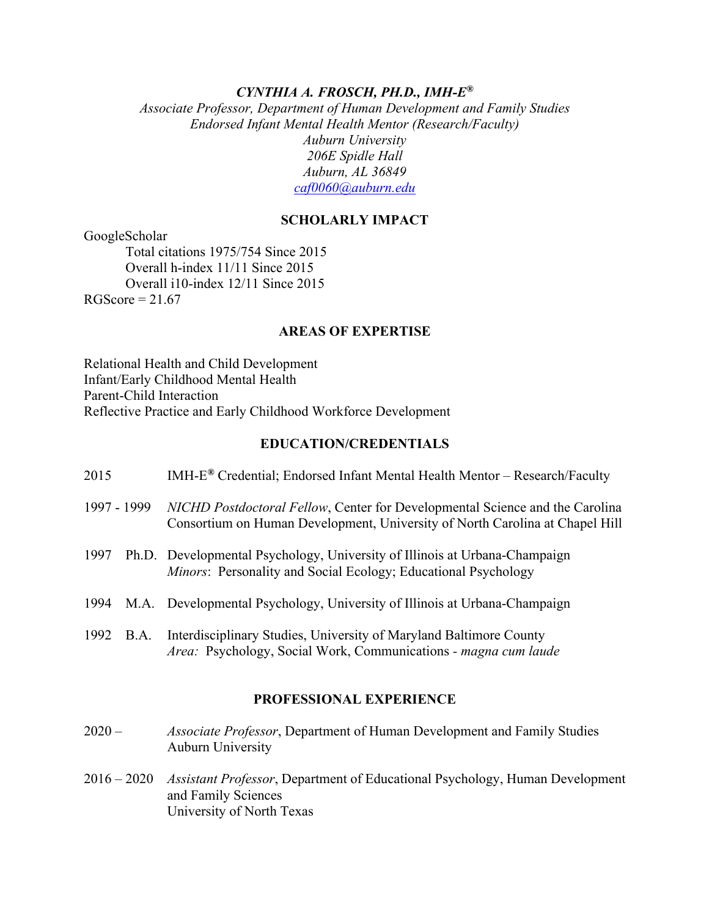#### *CYNTHIA A. FROSCH, PH.D., IMH-E®*

 *Associate Professor, Department of Human Development and Family Studies 206E Spidle Hall Endorsed Infant Mental Health Mentor (Research/Faculty) Auburn University Auburn, AL 36849 [caf0060@auburn.edu](mailto:caf0060@auburn.edu)* 

#### **SCHOLARLY IMPACT**

GoogleScholar GoogleScholar<br>Total citations 1975/754 Since 2015 Overall i10-index 12/11 Since 2015 Overall h-index 11/11 Since 2015  $RGScore = 21.67$ 

#### **AREAS OF EXPERTISE**

 Reflective Practice and Early Childhood Workforce Development Relational Health and Child Development Infant/Early Childhood Mental Health Parent-Child Interaction

#### **EDUCATION/CREDENTIALS**

| 2015        |      | $IMH-E^{\circledast}$ Credential; Endorsed Infant Mental Health Mentor - Research/Faculty                                                                    |
|-------------|------|--------------------------------------------------------------------------------------------------------------------------------------------------------------|
| 1997 - 1999 |      | NICHD Postdoctoral Fellow, Center for Developmental Science and the Carolina<br>Consortium on Human Development, University of North Carolina at Chapel Hill |
| 1997        |      | Ph.D. Developmental Psychology, University of Illinois at Urbana-Champaign<br>Minors: Personality and Social Ecology; Educational Psychology                 |
|             |      | 1994 M.A. Developmental Psychology, University of Illinois at Urbana-Champaign                                                                               |
| 1992        | B.A. | Interdisciplinary Studies, University of Maryland Baltimore County<br>Area: Psychology, Social Work, Communications - magna cum laude                        |

#### **PROFESSIONAL EXPERIENCE**

- $2020 -$ Associate Professor, Department of Human Development and Family Studies Auburn University
- 2016 2020 *Assistant Professor*, Department of Educational Psychology, Human Development and Family Sciences University of North Texas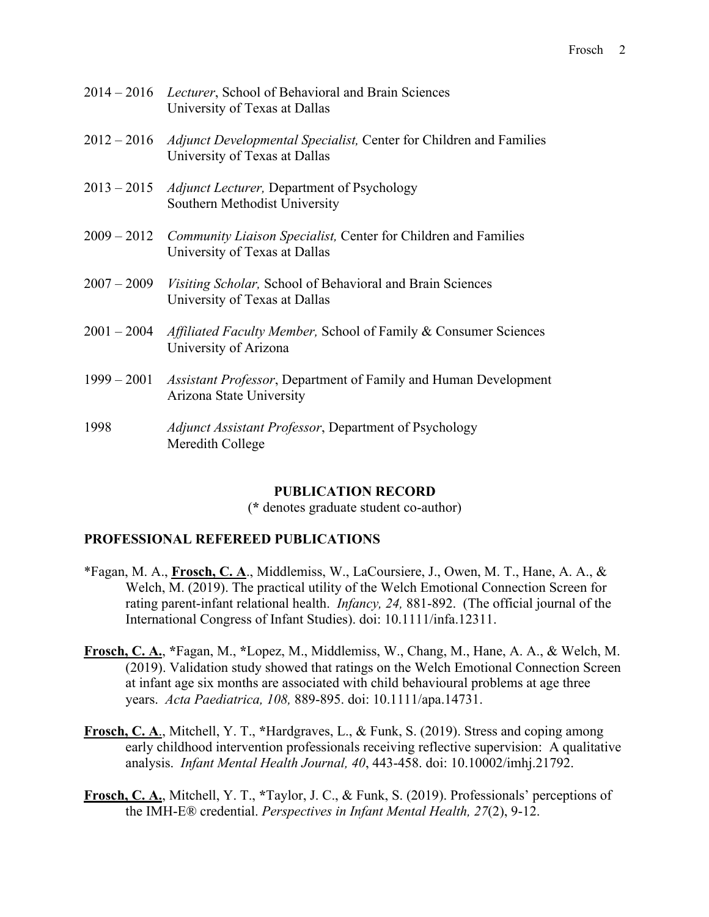| 2014 – 2016 Lecturer, School of Behavioral and Brain Sciences |
|---------------------------------------------------------------|
| University of Texas at Dallas                                 |

- 2012 2016 *Adjunct Developmental Specialist,* Center for Children and Families University of Texas at Dallas
- 2013 2015 *Adjunct Lecturer,* Department of Psychology Southern Methodist University
- 2009 2012 *Community Liaison Specialist,* Center for Children and Families University of Texas at Dallas
- $2007 2009$ *Visiting Scholar, School of Behavioral and Brain Sciences* University of Texas at Dallas
- 2001 2004 *Affiliated Faculty Member,* School of Family & Consumer Sciences University of Arizona
- 1999 2001 *Assistant Professor*, Department of Family and Human Development Arizona State University
- 1998 *Adjunct Assistant Professor*, Department of Psychology Meredith College

## **PUBLICATION RECORD**

(**\*** denotes graduate student co-author)

# **PROFESSIONAL REFEREED PUBLICATIONS**

- \*Fagan, M. A., Frosch, C. A., Middlemiss, W., LaCoursiere, J., Owen, M. T., Hane, A. A., & rating parent-infant relational health. *Infancy, 24,* 881-892. (The official journal of the International Congress of Infant Studies). doi: 10.1111/infa.12311. Welch, M. (2019). The practical utility of the Welch Emotional Connection Screen for
- **Frosch, C. A.**, **\***Fagan, M., **\***Lopez, M., Middlemiss, W., Chang, M., Hane, A. A., & Welch, M. (2019). Validation study showed that ratings on the Welch Emotional Connection Screen at infant age six months are associated with child behavioural problems at age three years. *Acta Paediatrica, 108,* 889-895. doi: 10.1111/apa.14731.
- analysis. *Infant Mental Health Journal, 40*, 443-458. doi: 10.10002/imhj.21792. **Frosch, C. A**., Mitchell, Y. T., **\***Hardgraves, L., & Funk, S. (2019). Stress and coping among early childhood intervention professionals receiving reflective supervision: A qualitative
- **Frosch, C. A.**, Mitchell, Y. T., **\***Taylor, J. C., & Funk, S. (2019). Professionals' perceptions of the IMH-E® credential. *Perspectives in Infant Mental Health, 27*(2), 9-12.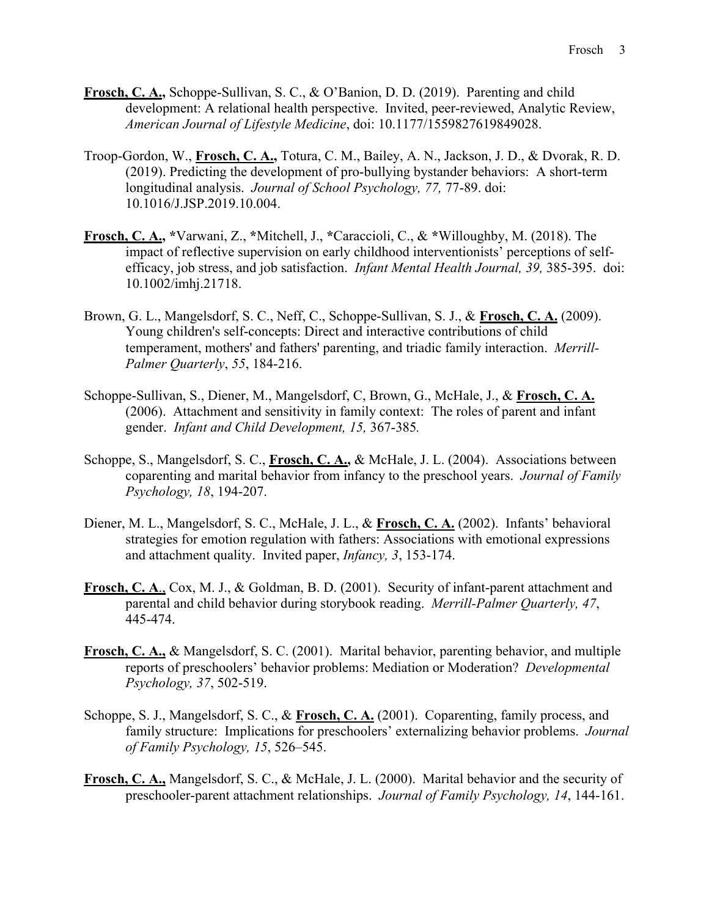- **Frosch, C. A.,** Schoppe-Sullivan, S. C., & O'Banion, D. D. (2019). Parenting and child development: A relational health perspective. Invited, peer-reviewed, Analytic Review, *American Journal of Lifestyle Medicine*, doi: 10.1177/1559827619849028.
- (2019). Predicting the development of pro-bullying bystander behaviors: A short-term longitudinal analysis. *Journal of School Psychology, 77,* 77-89. doi: 10.1016/J.JSP.2019.10.004. longitudinal analysis. Journal of School Psychology, 77, 77-89. doi: Troop-Gordon, W., **Frosch, C. A.,** Totura, C. M., Bailey, A. N., Jackson, J. D., & Dvorak, R. D.
- **Frosch, C. A., \***Varwani, Z., **\***Mitchell, J., **\***Caraccioli, C., & **\***Willoughby, M. (2018). The efficacy, job stress, and job satisfaction. *Infant Mental Health Journal, 39,* 385-395. doi: impact of reflective supervision on early childhood interventionists' perceptions of self-10.1002/imhj.21718.
- Brown, G. L., Mangelsdorf, S. C., Neff, C., Schoppe-Sullivan, S. J., & **Frosch, C. A.** (2009). Young children's self-concepts: Direct and interactive contributions of child temperament, mothers' and fathers' parenting, and triadic family interaction. *Merrill-Palmer Quarterly*, *55*, 184-216.
- Schoppe-Sullivan, S., Diener, M., Mangelsdorf, C, Brown, G., McHale, J., & **Frosch, C. A.**  (2006). Attachment and sensitivity in family context: The roles of parent and infant gender. *Infant and Child Development, 15,* 367-385*.*
- Schoppe, S., Mangelsdorf, S. C., **Frosch, C. A.,** & McHale, J. L. (2004). Associations between coparenting and marital behavior from infancy to the preschool years. *Journal of Family Psychology, 18*, 194-207.
- Diener, M. L., Mangelsdorf, S. C., McHale, J. L., & Frosch, C. A. <sup>(2002)</sup>. Infants' behavioral strategies for emotion regulation with fathers: Associations with emotional expressions and attachment quality. Invited paper, *Infancy, 3*, 153-174.
- 445-474. **Frosch, C. A**., Cox, M. J., & Goldman, B. D. (2001). Security of infant-parent attachment and parental and child behavior during storybook reading. *Merrill-Palmer Quarterly, 47*,
- reports of preschoolers' behavior problems: Mediation or Moderation? *Developmental*  Psychology, 37, 502-519. **Frosch, C. A.,** & Mangelsdorf, S. C. (2001). Marital behavior, parenting behavior, and multiple
- family structure: Implications for preschoolers' externalizing behavior problems. *Journal of Family Psychology, 15*, 526–545. *Pschoppe, S. J., Mangelsdorf, S. C., & Frosch, C. A. (2001). Coparenting, family process, and*
- preschooler-parent attachment relationships. *Journal of Family Psychology, 14*, 144-161. **Frosch, C. A.,** Mangelsdorf, S. C., & McHale, J. L. (2000). Marital behavior and the security of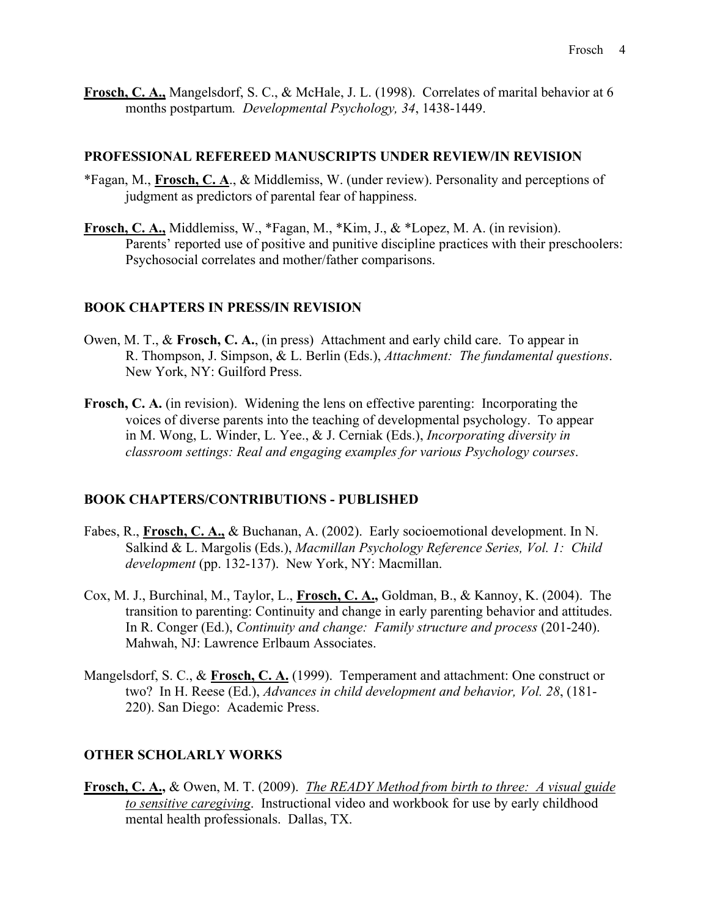months postpartum*. Developmental Psychology, 34*, 1438-1449. **Frosch, C. A.,** Mangelsdorf, S. C., & McHale, J. L. (1998). Correlates of marital behavior at 6

#### **PROFESSIONAL REFEREED MANUSCRIPTS UNDER REVIEW/IN REVISION**

- \*Fagan, M., **Frosch, C. A**., & Middlemiss, W. (under review). Personality and perceptions of judgment as predictors of parental fear of happiness.
- Parents' reported use of positive and punitive discipline practices with their preschoolers: Psychosocial correlates and mother/father comparisons. **Frosch, C. A.,** Middlemiss, W., \*Fagan, M., \*Kim, J., & \*Lopez, M. A. (in revision).

#### **BOOK CHAPTERS IN PRESS/IN REVISION**

- Owen, M. T., & **Frosch, C. A.**, (in press) Attachment and early child care. To appear in R. Thompson, J. Simpson, & L. Berlin (Eds.), *Attachment: The fundamental questions*. New York, NY: Guilford Press.
- **Frosch, C. A.** (in revision). Widening the lens on effective parenting: Incorporating the voices of diverse parents into the teaching of developmental psychology. To appear in M. Wong, L. Winder, L. Yee., & J. Cerniak (Eds.), *Incorporating diversity in classroom settings: Real and engaging examples for various Psychology courses*.

#### **BOOK CHAPTERS/CONTRIBUTIONS - PUBLISHED**

- Fabes, R., **Frosch, C. A.,** & Buchanan, A. (2002). Early socioemotional development. In N. Salkind & L. Margolis (Eds.), *Macmillan Psychology Reference Series, Vol. 1: Child development* (pp. 132-137). New York, NY: Macmillan.
- Cox, M. J., Burchinal, M., Taylor, L., Frosch, C. A., Goldman, B., & Kannoy, K. (2004). The In R. Conger (Ed.), *Continuity and change: Family structure and process* (201-240). Mahwah, NJ: Lawrence Erlbaum Associates. transition to parenting: Continuity and change in early parenting behavior and attitudes.
- Mangelsdorf, S. C., & Frosch, C. A. (1999). Temperament and attachment: One construct or two? In H. Reese (Ed.), *Advances in child development and behavior, Vol. 28*, (181- 220). San Diego: Academic Press.

#### **OTHER SCHOLARLY WORKS**

 mental health professionals. Dallas, TX. **Frosch, C. A.,** & Owen, M. T. (2009). *The READY Method from birth to three: A visual guide to sensitive caregiving*. Instructional video and workbook for use by early childhood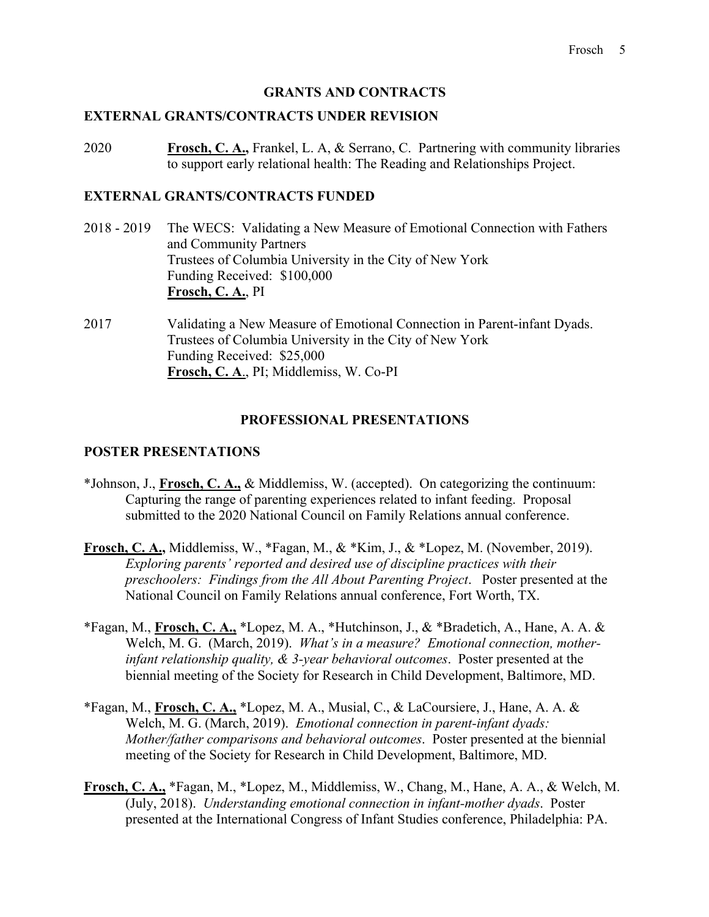# **GRANTS AND CONTRACTS**

#### **EXTERNAL GRANTS/CONTRACTS UNDER REVISION**

2020 **Frosch, C. A.,** Frankel, L. A, & Serrano, C. Partnering with community libraries to support early relational health: The Reading and Relationships Project.

#### **EXTERNAL GRANTS/CONTRACTS FUNDED**

- $2018 2019$ and Community Partners The WECS: Validating a New Measure of Emotional Connection with Fathers Trustees of Columbia University in the City of New York Funding Received: \$100,000 **Frosch, C. A.**, PI
- 2017 Funding Received: \$25,000 Validating a New Measure of Emotional Connection in Parent-infant Dyads. Trustees of Columbia University in the City of New York **Frosch, C. A**., PI; Middlemiss, W. Co-PI

# **PROFESSIONAL PRESENTATIONS**

#### **POSTER PRESENTATIONS**

- \*Johnson, J., **Frosch, C. A.,** & Middlemiss, W. (accepted). On categorizing the continuum: Capturing the range of parenting experiences related to infant feeding. Proposal submitted to the 2020 National Council on Family Relations annual conference.
- **Frosch, C. A.,** Middlemiss, W., \*Fagan, M., & \*Kim, J., & \*Lopez, M. (November, 2019). *Exploring parents' reported and desired use of discipline practices with their preschoolers: Findings from the All About Parenting Project*. Poster presented at the National Council on Family Relations annual conference, Fort Worth, TX.
- \*Fagan, M., **Frosch, C. A.,** \*Lopez, M. A., \*Hutchinson, J., & \*Bradetich, A., Hane, A. A. & Welch, M. G. (March, 2019). *What's in a measure? Emotional connection, motherinfant relationship quality, & 3-year behavioral outcomes*. Poster presented at the biennial meeting of the Society for Research in Child Development, Baltimore, MD.
- \*Fagan, M., **Frosch, C. A.,** \*Lopez, M. A., Musial, C., & LaCoursiere, J., Hane, A. A. & Welch, M. G. (March, 2019). *Emotional connection in parent-infant dyads: Mother/father comparisons and behavioral outcomes*. Poster presented at the biennial meeting of the Society for Research in Child Development, Baltimore, MD.
- **Frosch, C. A.,** \*Fagan, M., \*Lopez, M., Middlemiss, W., Chang, M., Hane, A. A., & Welch, M. (July, 2018). *Understanding emotional connection in infant-mother dyads*. Poster presented at the International Congress of Infant Studies conference, Philadelphia: PA.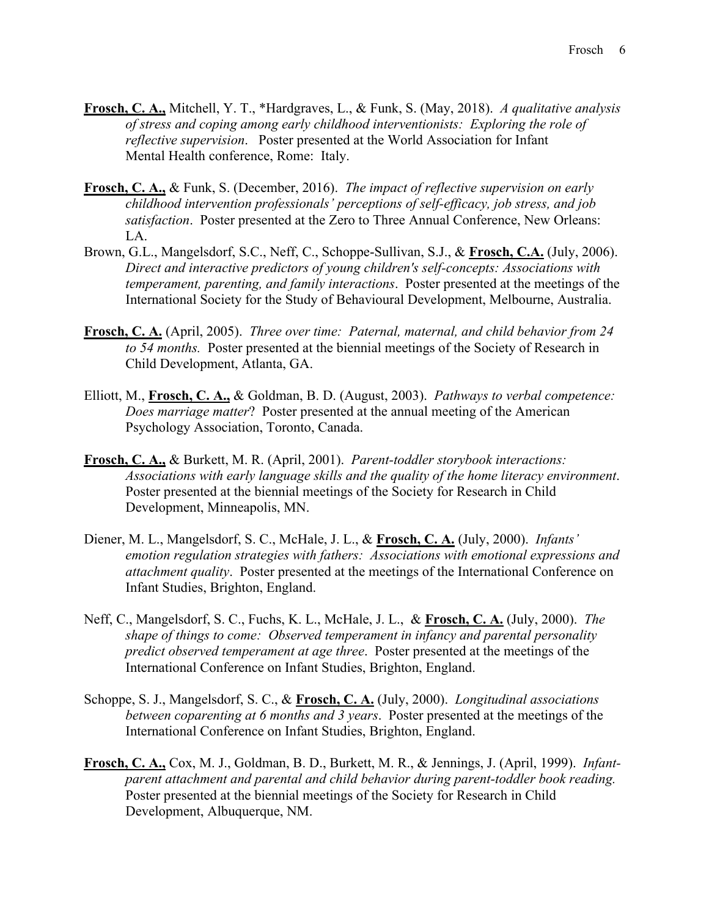- Frosch, C. A., Mitchell, Y. T., \*Hardgraves, L., & Funk, S. (May, 2018). A qualitative analysis of stress and coping among early childhood interventionists: Exploring the role of reflective supervision. Poster presented at of stress and coping among early childhood interventionists: Exploring the role of reflective supervision. Poster presented at the World Association for Infant
- **Frosch, C. A.,** & Funk, S. (December, 2016). *The impact of reflective supervision on early childhood intervention professionals' perceptions of self-efficacy, job stress, and job satisfaction*. Poster presented at the Zero to Three Annual Conference, New Orleans: LA.
- Brown, G.L., Mangelsdorf, S.C., Neff, C., Schoppe-Sullivan, S.J., & **Frosch, C.A.** (July, 2006). *Direct and interactive predictors of young children's self-concepts: Associations with temperament, parenting, and family interactions*. Poster presented at the meetings of the International Society for the Study of Behavioural Development, Melbourne, Australia.
- **Frosch, C. A.** (April, 2005). *Three over time: Paternal, maternal, and child behavior from 24 to 54 months.* Poster presented at the biennial meetings of the Society of Research in Child Development, Atlanta, GA.
- Elliott, M., **Frosch, C. A.,** & Goldman, B. D. (August, 2003). *Pathways to verbal competence: Does marriage matter*? Poster presented at the annual meeting of the American Psychology Association, Toronto, Canada.
- **Frosch, C. A.,** & Burkett, M. R. (April, 2001). *Parent-toddler storybook interactions: Associations with early language skills and the quality of the home literacy environment*. Poster presented at the biennial meetings of the Society for Research in Child Development, Minneapolis, MN.
- Diener, M. L., Mangelsdorf, S. C., McHale, J. L., & **Frosch, C. A.** (July, 2000). *Infants' emotion regulation strategies with fathers: Associations with emotional expressions and attachment quality*. Poster presented at the meetings of the International Conference on Infant Studies, Brighton, England.
- Neff, C., Mangelsdorf, S. C., Fuchs, K. L., McHale, J. L., & **Frosch, C. A.** (July, 2000). *The shape of things to come: Observed temperament in infancy and parental personality predict observed temperament at age three*. Poster presented at the meetings of the International Conference on Infant Studies, Brighton, England.
- Schoppe, S. J., Mangelsdorf, S. C., & **Frosch, C. A.** (July, 2000). *Longitudinal associations between coparenting at 6 months and 3 years*. Poster presented at the meetings of the International Conference on Infant Studies, Brighton, England.
- *parent attachment and parental and child behavior during parent-toddler book reading.* **Frosch, C. A.,** Cox, M. J., Goldman, B. D., Burkett, M. R., & Jennings, J. (April, 1999). *Infant-*Poster presented at the biennial meetings of the Society for Research in Child Development, Albuquerque, NM.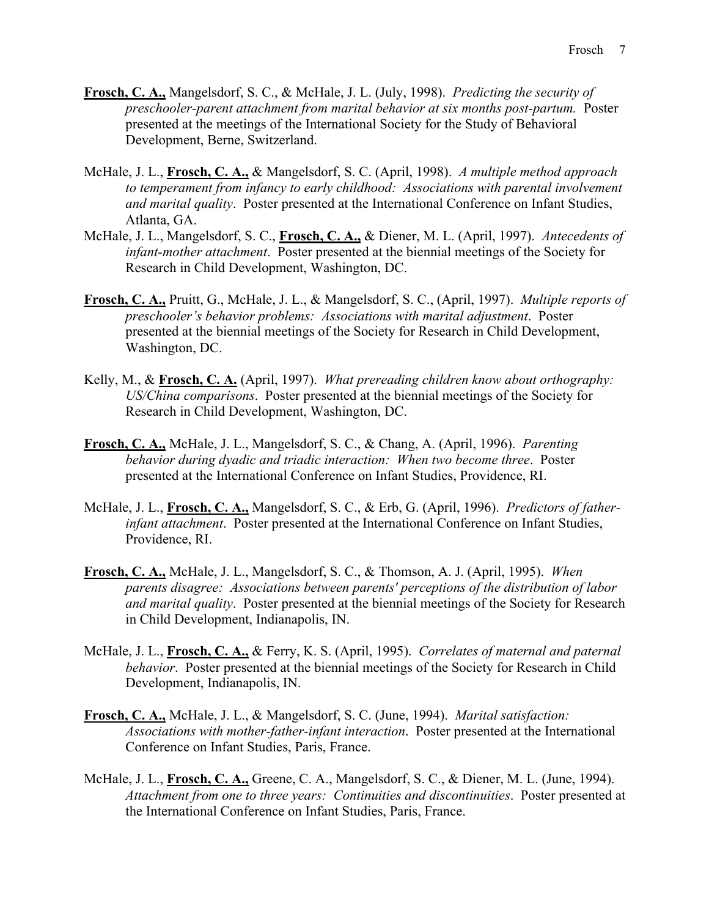- *preschooler-parent attachment from marital behavior at six months post-partum.* Poster **Frosch, C. A.,** Mangelsdorf, S. C., & McHale, J. L. (July, 1998). *Predicting the security of*  presented at the meetings of the International Society for the Study of Behavioral Development, Berne, Switzerland.
- McHale, J. L., **Frosch, C. A.,** & Mangelsdorf, S. C. (April, 1998). *A multiple method approach to temperament from infancy to early childhood: Associations with parental involvement and marital quality*. Poster presented at the International Conference on Infant Studies, Atlanta, GA.
- McHale, J. L., Mangelsdorf, S. C., **Frosch, C. A.,** & Diener, M. L. (April, 1997). *Antecedents of infant-mother attachment*. Poster presented at the biennial meetings of the Society for Research in Child Development, Washington, DC.
- **Frosch, C. A.,** Pruitt, G., McHale, J. L., & Mangelsdorf, S. C., (April, 1997). *Multiple reports of preschooler's behavior problems: Associations with marital adjustment*. Poster presented at the biennial meetings of the Society for Research in Child Development, Washington, DC.
- Kelly, M., & **Frosch, C. A.** (April, 1997). *What prereading children know about orthography: US/China comparisons*. Poster presented at the biennial meetings of the Society for Research in Child Development, Washington, DC.
- **Frosch, C. A.,** McHale, J. L., Mangelsdorf, S. C., & Chang, A. (April, 1996). *Parenting behavior during dyadic and triadic interaction: When two become three*. Poster presented at the International Conference on Infant Studies, Providence, RI.
- McHale, J. L., **Frosch, C. A.,** Mangelsdorf, S. C., & Erb, G. (April, 1996). *Predictors of fatherinfant attachment*. Poster presented at the International Conference on Infant Studies, Providence, RI.
- **Frosch, C. A.,** McHale, J. L., Mangelsdorf, S. C., & Thomson, A. J. (April, 1995). *When parents disagree: Associations between parents' perceptions of the distribution of labor and marital quality*. Poster presented at the biennial meetings of the Society for Research in Child Development, Indianapolis, IN.
- McHale, J. L., **Frosch, C. A.,** & Ferry, K. S. (April, 1995). *Correlates of maternal and paternal behavior*. Poster presented at the biennial meetings of the Society for Research in Child Development, Indianapolis, IN.
- **Frosch, C. A.,** McHale, J. L., & Mangelsdorf, S. C. (June, 1994). *Marital satisfaction: Associations with mother-father-infant interaction*. Poster presented at the International Conference on Infant Studies, Paris, France.
- McHale, J. L., **Frosch, C. A.,** Greene, C. A., Mangelsdorf, S. C., & Diener, M. L. (June, 1994). *Attachment from one to three years: Continuities and discontinuities*. Poster presented at the International Conference on Infant Studies, Paris, France.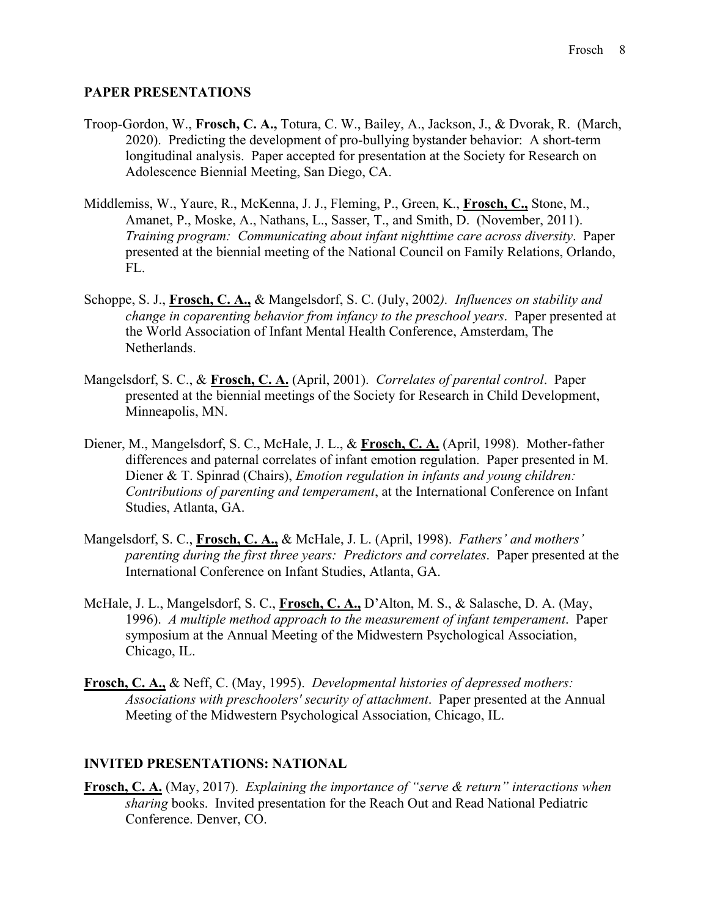# **PAPER PRESENTATIONS**

- Troop-Gordon, W., **Frosch, C. A.,** Totura, C. W., Bailey, A., Jackson, J., & Dvorak, R. (March, 2020). Predicting the development of pro-bullying bystander behavior: A short-term longitudinal analysis. Paper accepted for presentation at the Society for Research on Adolescence Biennial Meeting, San Diego, CA.
- Middlemiss, W., Yaure, R., McKenna, J. J., Fleming, P., Green, K., **Frosch, C.,** Stone, M., Amanet, P., Moske, A., Nathans, L., Sasser, T., and Smith, D. (November, 2011). *Training program: Communicating about infant nighttime care across diversity*. Paper presented at the biennial meeting of the National Council on Family Relations, Orlando, FL.
- Schoppe, S. J., **Frosch, C. A.,** & Mangelsdorf, S. C. (July, 2002*). Influences on stability and change in coparenting behavior from infancy to the preschool years*. Paper presented at the World Association of Infant Mental Health Conference, Amsterdam, The Netherlands.
- Mangelsdorf, S. C., & **Frosch, C. A.** (April, 2001). *Correlates of parental control*. Paper presented at the biennial meetings of the Society for Research in Child Development, Minneapolis, MN.
- Diener, M., Mangelsdorf, S. C., McHale, J. L., & **Frosch, C. A.** (April, 1998). Mother-father differences and paternal correlates of infant emotion regulation. Paper presented in M. Diener & T. Spinrad (Chairs), *Emotion regulation in infants and young children: Contributions of parenting and temperament*, at the International Conference on Infant Studies, Atlanta, GA.
- Mangelsdorf, S. C., **Frosch, C. A.,** & McHale, J. L. (April, 1998). *Fathers' and mothers' parenting during the first three years: Predictors and correlates*. Paper presented at the International Conference on Infant Studies, Atlanta, GA.
- McHale, J. L., Mangelsdorf, S. C., **Frosch, C. A.,** D'Alton, M. S., & Salasche, D. A. (May, 1996). *A multiple method approach to the measurement of infant temperament*. Paper symposium at the Annual Meeting of the Midwestern Psychological Association, Chicago, IL.
- **Frosch, C. A.,** & Neff, C. (May, 1995). *Developmental histories of depressed mothers: Associations with preschoolers' security of attachment*. Paper presented at the Annual Meeting of the Midwestern Psychological Association, Chicago, IL.

## **INVITED PRESENTATIONS: NATIONAL**

**Frosch, C. A.** (May, 2017). *Explaining the importance of "serve & return" interactions when sharing* books. Invited presentation for the Reach Out and Read National Pediatric Conference. Denver, CO.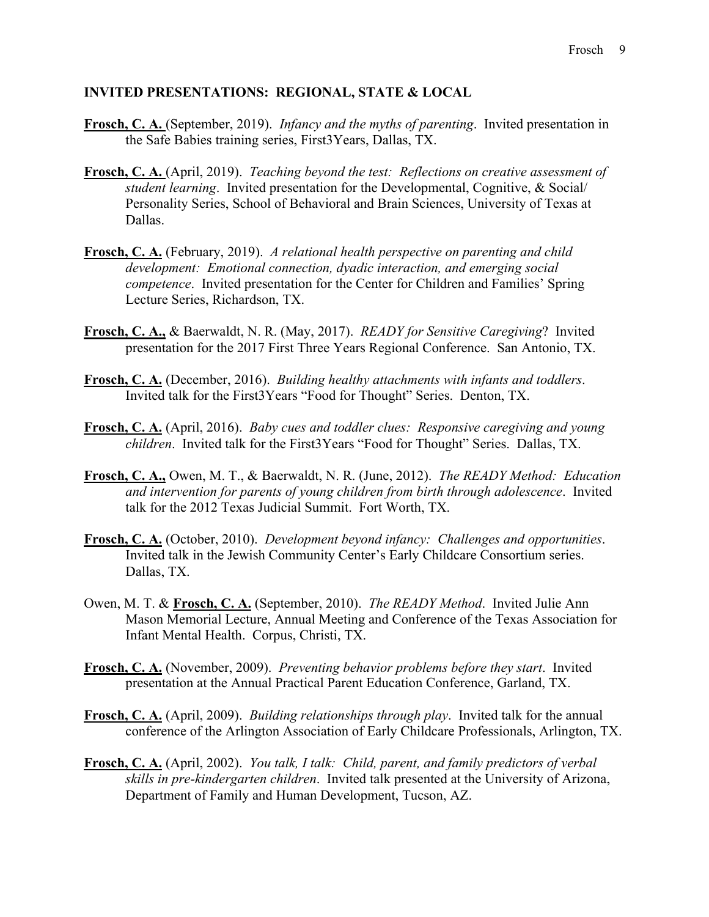#### **INVITED PRESENTATIONS: REGIONAL, STATE & LOCAL**

- **Frosch, C. A.** (September, 2019). *Infancy and the myths of parenting*. Invited presentation in the Safe Babies training series, First3Years, Dallas, TX.
- **Frosch, C. A.** (April, 2019). *Teaching beyond the test: Reflections on creative assessment of student learning*. Invited presentation for the Developmental, Cognitive, & Social/ Personality Series, School of Behavioral and Brain Sciences, University of Texas at Dallas.
- **Frosch, C. A.** (February, 2019). *A relational health perspective on parenting and child development: Emotional connection, dyadic interaction, and emerging social competence*. Invited presentation for the Center for Children and Families' Spring Lecture Series, Richardson, TX.
- **Frosch, C. A.,** & Baerwaldt, N. R. (May, 2017). *READY for Sensitive Caregiving*? Invited presentation for the 2017 First Three Years Regional Conference. San Antonio, TX.
- **Frosch, C. A.** (December, 2016). *Building healthy attachments with infants and toddlers*. Invited talk for the First3Years "Food for Thought" Series. Denton, TX.
- **Frosch, C. A.** (April, 2016). *Baby cues and toddler clues: Responsive caregiving and young children*. Invited talk for the First3Years "Food for Thought" Series. Dallas, TX.
- **Frosch, C. A.,** Owen, M. T., & Baerwaldt, N. R. (June, 2012). *The READY Method: Education and intervention for parents of young children from birth through adolescence*. Invited talk for the 2012 Texas Judicial Summit. Fort Worth, TX.
- **Frosch, C. A.** (October, 2010). *Development beyond infancy: Challenges and opportunities*. Invited talk in the Jewish Community Center's Early Childcare Consortium series. Dallas, TX.
- Owen, M. T. & **Frosch, C. A.** (September, 2010). *The READY Method*. Invited Julie Ann Mason Memorial Lecture, Annual Meeting and Conference of the Texas Association for Infant Mental Health. Corpus, Christi, TX.
- **Frosch, C. A.** (November, 2009). *Preventing behavior problems before they start*. Invited presentation at the Annual Practical Parent Education Conference, Garland, TX.
- **Frosch, C. A.** (April, 2009). *Building relationships through play*. Invited talk for the annual conference of the Arlington Association of Early Childcare Professionals, Arlington, TX.
- **Frosch, C. A.** (April, 2002). *You talk, I talk: Child, parent, and family predictors of verbal skills in pre-kindergarten children*. Invited talk presented at the University of Arizona, Department of Family and Human Development, Tucson, AZ.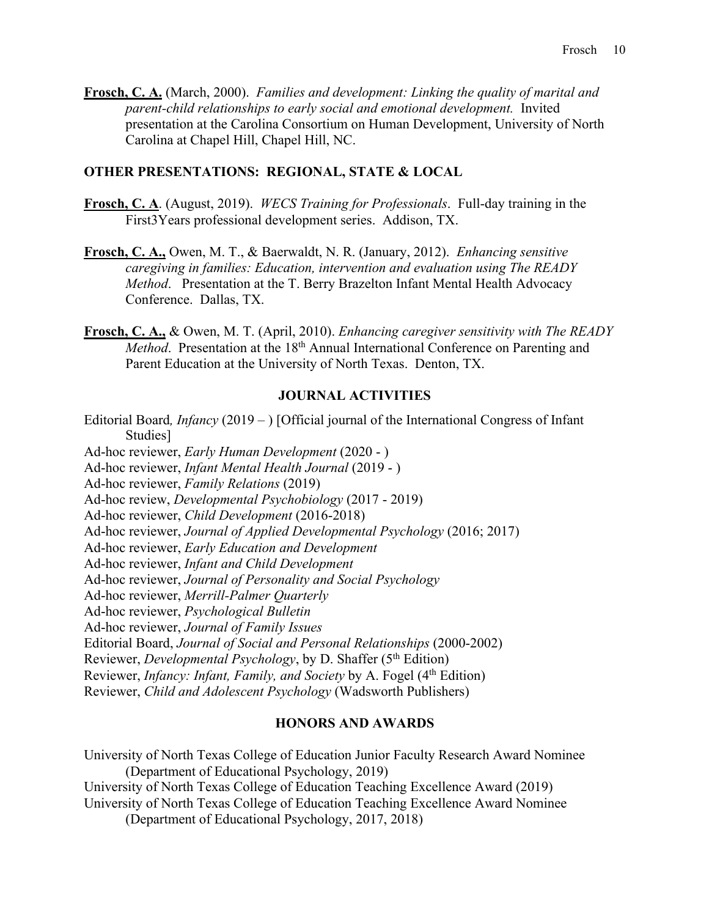*parent-child relationships to early social and emotional development.* Invited **Frosch, C. A.** (March, 2000). *Families and development: Linking the quality of marital and*  presentation at the Carolina Consortium on Human Development, University of North Carolina at Chapel Hill, Chapel Hill, NC.

## **OTHER PRESENTATIONS: REGIONAL, STATE & LOCAL**

- **Frosch, C. A**. (August, 2019). *WECS Training for Professionals*. Full-day training in the First3Years professional development series. Addison, TX.
- **Frosch, C. A.,** Owen, M. T., & Baerwaldt, N. R. (January, 2012). *Enhancing sensitive caregiving in families: Education, intervention and evaluation using The READY Method*. Presentation at the T. Berry Brazelton Infant Mental Health Advocacy Conference. Dallas, TX.
- **Frosch, C. A.,** & Owen, M. T. (April, 2010). *Enhancing caregiver sensitivity with The READY Method*. Presentation at the 18<sup>th</sup> Annual International Conference on Parenting and Parent Education at the University of North Texas. Denton, TX.

# **JOURNAL ACTIVITIES**

 Editorial Board*, Infancy* (2019 – ) [Official journal of the International Congress of Infant Ad-hoc reviewer, *Early Human Development* (2020 - ) Ad-hoc reviewer, *Infant Mental Health Journal* (2019 - ) Ad-hoc reviewer, *Family Relations* (2019) Ad-hoc reviewer, *Child Development* (2016-2018) Ad-hoc reviewer, *Infant and Child Development*  Editorial Board, *Journal of Social and Personal Relationships* (2000-2002) Reviewer, *Developmental Psychology*, by D. Shaffer (5th Edition) Reviewer, *Infancy: Infant, Family, and Society* by A. Fogel (4<sup>th</sup> Edition) Studies] Ad-hoc review, *Developmental Psychobiology* (2017 - 2019) Ad-hoc reviewer, *Journal of Applied Developmental Psychology* (2016; 2017) Ad-hoc reviewer, *Early Education and Development*  Ad-hoc reviewer, *Journal of Personality and Social Psychology*  Ad-hoc reviewer, *Merrill-Palmer Quarterly*  Ad-hoc reviewer, *Psychological Bulletin*  Ad-hoc reviewer, *Journal of Family Issues*  Reviewer, *Child and Adolescent Psychology* (Wadsworth Publishers)

## **HONORS AND AWARDS**

 University of North Texas College of Education Teaching Excellence Award Nominee (Department of Educational Psychology, 2017, 2018) University of North Texas College of Education Junior Faculty Research Award Nominee (Department of Educational Psychology, 2019) University of North Texas College of Education Teaching Excellence Award (2019)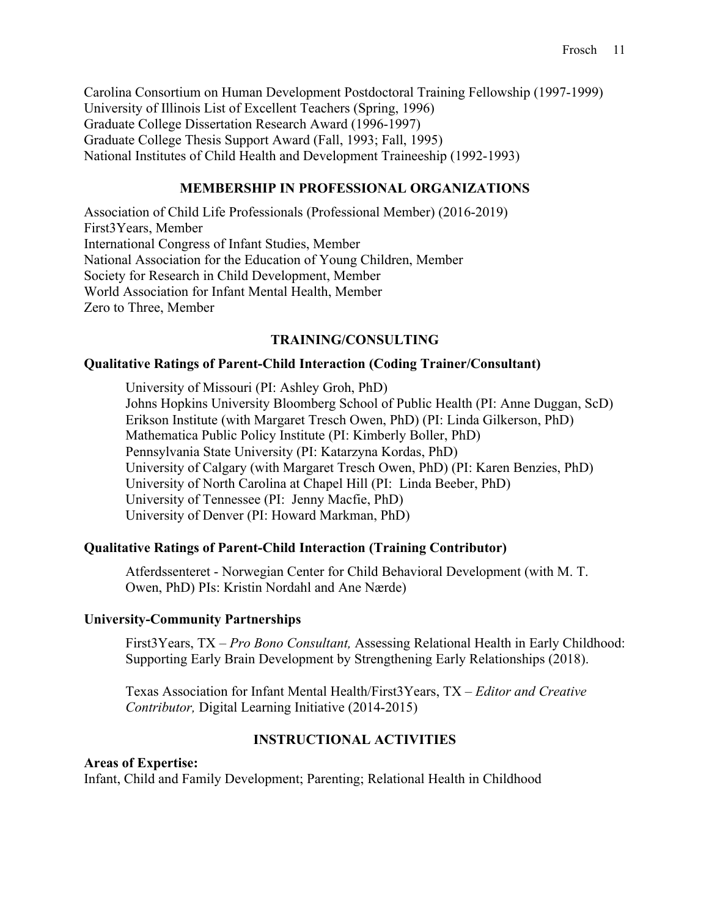Carolina Consortium on Human Development Postdoctoral Training Fellowship (1997-1999) University of Illinois List of Excellent Teachers (Spring, 1996) Graduate College Dissertation Research Award (1996-1997) Graduate College Thesis Support Award (Fall, 1993; Fall, 1995) National Institutes of Child Health and Development Traineeship (1992-1993)

# **MEMBERSHIP IN PROFESSIONAL ORGANIZATIONS**

 Association of Child Life Professionals (Professional Member) (2016-2019) First3Years, Member International Congress of Infant Studies, Member National Association for the Education of Young Children, Member Society for Research in Child Development, Member World Association for Infant Mental Health, Member Zero to Three, Member

# **TRAINING/CONSULTING**

# **Oualitative Ratings of Parent-Child Interaction (Coding Trainer/Consultant)**

University of Missouri (PI: Ashley Groh, PhD) Johns Hopkins University Bloomberg School of Public Health (PI: Anne Duggan, ScD) Erikson Institute (with Margaret Tresch Owen, PhD) (PI: Linda Gilkerson, PhD) Mathematica Public Policy Institute (PI: Kimberly Boller, PhD) Pennsylvania State University (PI: Katarzyna Kordas, PhD) University of Calgary (with Margaret Tresch Owen, PhD) (PI: Karen Benzies, PhD) University of North Carolina at Chapel Hill (PI: Linda Beeber, PhD) University of Tennessee (PI: Jenny Macfie, PhD) University of Denver (PI: Howard Markman, PhD)

# **Qualitative Ratings of Parent-Child Interaction (Training Contributor)**

 Atferdssenteret - Norwegian Center for Child Behavioral Development (with M. T. Owen, PhD) PIs: Kristin Nordahl and Ane Nærde)

## **University-Community Partnerships**

 First3Years, TX – *Pro Bono Consultant,* Assessing Relational Health in Early Childhood: Supporting Early Brain Development by Strengthening Early Relationships (2018).

 Texas Association for Infant Mental Health/First3Years, TX – *Editor and Creative Contributor,* Digital Learning Initiative (2014-2015)

## **INSTRUCTIONAL ACTIVITIES**

## **Areas of Expertise:**

Infant, Child and Family Development; Parenting; Relational Health in Childhood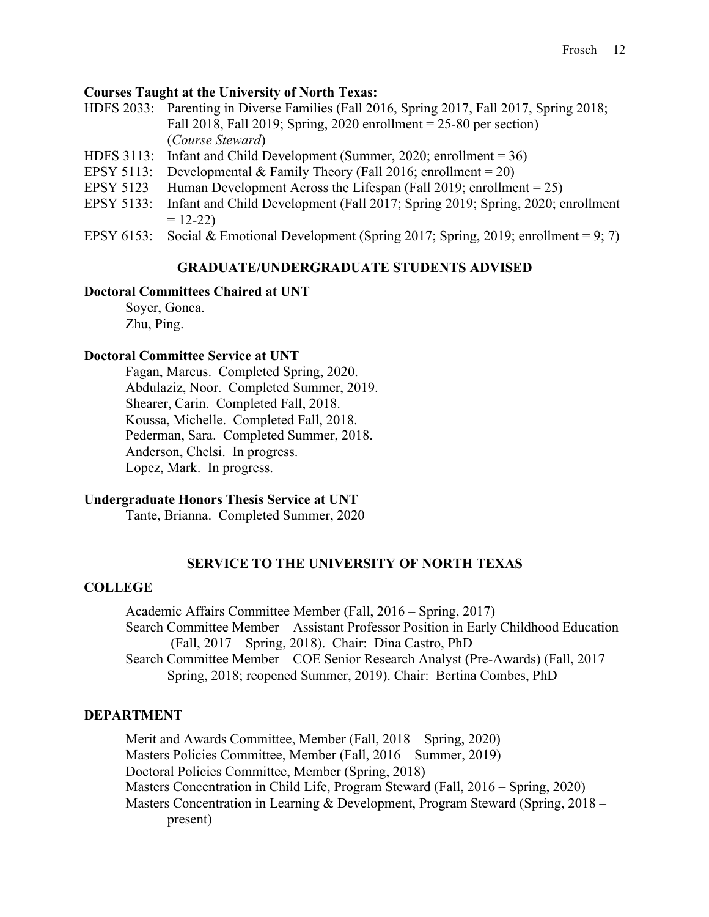# **Courses Taught at the University of North Texas:**

- HDFS 2033: Parenting in Diverse Families (Fall 2016, Spring 2017, Fall 2017, Spring 2018; Fall 2018, Fall 2019; Spring, 2020 enrollment = 25-80 per section) (*Course Steward*)
- HDFS 3113: Infant and Child Development (Summer, 2020; enrollment = 36)
- EPSY 5113: Developmental & Family Theory (Fall 2016; enrollment = 20)
- EPSY 5123 Human Development Across the Lifespan (Fall 2019; enrollment = 25)
- EPSY 5133: Infant and Child Development (Fall 2017; Spring 2019; Spring, 2020; enrollment  $= 12 - 22$
- EPSY 6153: Social & Emotional Development (Spring 2017; Spring, 2019; enrollment = 9; 7)

# **GRADUATE/UNDERGRADUATE STUDENTS ADVISED Doctoral Committees Chaired at UNT**

## **Doctoral Committees Chaired at UNT**

Soyer, Gonca. Zhu, Ping.

## **Doctoral Committee Service at UNT**

Fagan, Marcus. Completed Spring, 2020. Abdulaziz, Noor. Completed Summer, 2019. Shearer, Carin. Completed Fall, 2018. Koussa, Michelle. Completed Fall, 2018. Pederman, Sara. Completed Summer, 2018. Anderson, Chelsi. In progress. Lopez, Mark. In progress.

## **Undergraduate Honors Thesis Service at UNT**

Tante, Brianna. Completed Summer, 2020

# **SERVICE TO THE UNIVERSITY OF NORTH TEXAS**

## **COLLEGE**

 Search Committee Member – COE Senior Research Analyst (Pre-Awards) (Fall, 2017 – Spring, 2018; reopened Summer, 2019). Chair: Bertina Combes, PhD Academic Affairs Committee Member (Fall, 2016 – Spring, 2017) Search Committee Member – Assistant Professor Position in Early Childhood Education (Fall, 2017 – Spring, 2018). Chair: Dina Castro, PhD

# **DEPARTMENT**

 Merit and Awards Committee, Member (Fall, 2018 – Spring, 2020) Masters Policies Committee, Member (Fall, 2016 – Summer, 2019) Doctoral Policies Committee, Member (Spring, 2018) Masters Concentration in Child Life, Program Steward (Fall, 2016 – Spring, 2020) Masters Concentration in Learning & Development, Program Steward (Spring, 2018 – present)